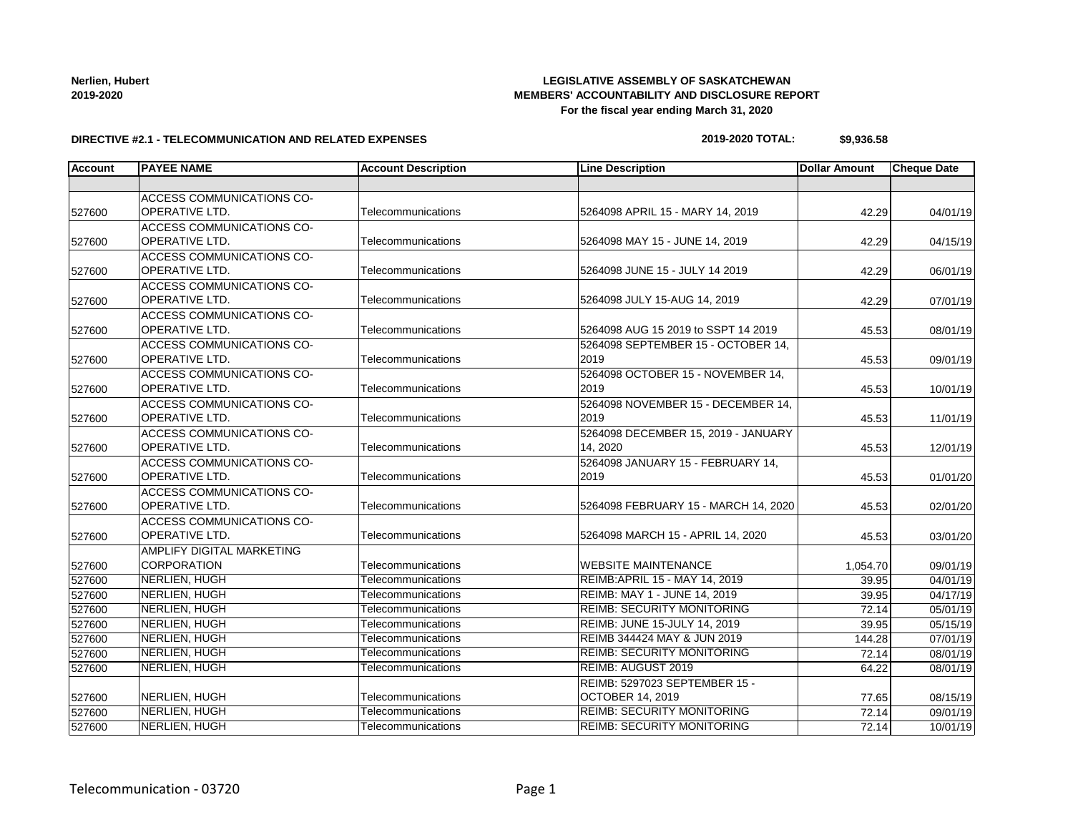# Telecommunication - 03720 Page 1

## **LEGISLATIVE ASSEMBLY OF SASKATCHEWAN MEMBERS' ACCOUNTABILITY AND DISCLOSURE REPORT For the fiscal year ending March 31, 2020**

#### **DIRECTIVE #2.1 - TELECOMMUNICATION AND RELATED EXPENSES**

| TIVE #2.1 - TELECOMMUNICATION AND RELATED EXPENSES |  |
|----------------------------------------------------|--|
|----------------------------------------------------|--|

| 2019-2020 TOTAL: | \$9,936.58 |
|------------------|------------|

| <b>Account</b> | <b>PAYEE NAME</b>                | <b>Account Description</b> | <b>Line Description</b>              | <b>Dollar Amount</b> | <b>Cheque Date</b> |
|----------------|----------------------------------|----------------------------|--------------------------------------|----------------------|--------------------|
|                |                                  |                            |                                      |                      |                    |
|                | ACCESS COMMUNICATIONS CO-        |                            |                                      |                      |                    |
| 527600         | OPERATIVE LTD.                   | Telecommunications         | 5264098 APRIL 15 - MARY 14, 2019     | 42.29                | 04/01/19           |
|                | ACCESS COMMUNICATIONS CO-        |                            |                                      |                      |                    |
| 527600         | OPERATIVE LTD.                   | Telecommunications         | 5264098 MAY 15 - JUNE 14, 2019       | 42.29                | 04/15/19           |
|                | <b>ACCESS COMMUNICATIONS CO-</b> |                            |                                      |                      |                    |
| 527600         | OPERATIVE LTD.                   | Telecommunications         | 5264098 JUNE 15 - JULY 14 2019       | 42.29                | 06/01/19           |
|                | <b>ACCESS COMMUNICATIONS CO-</b> |                            |                                      |                      |                    |
| 527600         | OPERATIVE LTD.                   | Telecommunications         | 5264098 JULY 15-AUG 14, 2019         | 42.29                | 07/01/19           |
|                | ACCESS COMMUNICATIONS CO-        |                            |                                      |                      |                    |
| 527600         | <b>OPERATIVE LTD.</b>            | Telecommunications         | 5264098 AUG 15 2019 to SSPT 14 2019  | 45.53                | 08/01/19           |
|                | ACCESS COMMUNICATIONS CO-        |                            | 5264098 SEPTEMBER 15 - OCTOBER 14,   |                      |                    |
| 527600         | <b>OPERATIVE LTD.</b>            | Telecommunications         | 2019                                 | 45.53                | 09/01/19           |
|                | ACCESS COMMUNICATIONS CO-        |                            | 5264098 OCTOBER 15 - NOVEMBER 14,    |                      |                    |
| 527600         | OPERATIVE LTD.                   | Telecommunications         | 2019                                 | 45.53                | 10/01/19           |
|                | <b>ACCESS COMMUNICATIONS CO-</b> |                            | 5264098 NOVEMBER 15 - DECEMBER 14.   |                      |                    |
| 527600         | <b>OPERATIVE LTD.</b>            | Telecommunications         | 2019                                 | 45.53                | 11/01/19           |
|                | <b>ACCESS COMMUNICATIONS CO-</b> |                            | 5264098 DECEMBER 15, 2019 - JANUARY  |                      |                    |
| 527600         | OPERATIVE LTD.                   | Telecommunications         | 14, 2020                             | 45.53                | 12/01/19           |
|                | ACCESS COMMUNICATIONS CO-        |                            | 5264098 JANUARY 15 - FEBRUARY 14,    |                      |                    |
| 527600         | <b>OPERATIVE LTD.</b>            | Telecommunications         | 2019                                 | 45.53                | 01/01/20           |
|                | ACCESS COMMUNICATIONS CO-        |                            |                                      |                      |                    |
| 527600         | <b>OPERATIVE LTD.</b>            | Telecommunications         | 5264098 FEBRUARY 15 - MARCH 14, 2020 | 45.53                | 02/01/20           |
|                | ACCESS COMMUNICATIONS CO-        |                            |                                      |                      |                    |
| 527600         | <b>OPERATIVE LTD.</b>            | Telecommunications         | 5264098 MARCH 15 - APRIL 14, 2020    | 45.53                | 03/01/20           |
|                | <b>AMPLIFY DIGITAL MARKETING</b> |                            |                                      |                      |                    |
| 527600         | CORPORATION                      | Telecommunications         | <b>WEBSITE MAINTENANCE</b>           | 1,054.70             | 09/01/19           |
| 527600         | NERLIEN, HUGH                    | Telecommunications         | REIMB: APRIL 15 - MAY 14, 2019       | 39.95                | 04/01/19           |
| 527600         | NERLIEN, HUGH                    | Telecommunications         | REIMB: MAY 1 - JUNE 14, 2019         | 39.95                | 04/17/19           |
| 527600         | NERLIEN, HUGH                    | Telecommunications         | <b>REIMB: SECURITY MONITORING</b>    | 72.14                | 05/01/19           |
| 527600         | NERLIEN, HUGH                    | Telecommunications         | REIMB: JUNE 15-JULY 14, 2019         | 39.95                | 05/15/19           |
| 527600         | NERLIEN, HUGH                    | Telecommunications         | REIMB 344424 MAY & JUN 2019          | 144.28               | 07/01/19           |
| 527600         | NERLIEN, HUGH                    | Telecommunications         | <b>REIMB: SECURITY MONITORING</b>    | 72.14                | 08/01/19           |
| 527600         | NERLIEN, HUGH                    | Telecommunications         | REIMB: AUGUST 2019                   | 64.22                | 08/01/19           |
|                |                                  |                            | REIMB: 5297023 SEPTEMBER 15 -        |                      |                    |
| 527600         | NERLIEN, HUGH                    | Telecommunications         | <b>OCTOBER 14, 2019</b>              | 77.65                | 08/15/19           |
| 527600         | NERLIEN, HUGH                    | Telecommunications         | <b>REIMB: SECURITY MONITORING</b>    | 72.14                | 09/01/19           |
| 527600         | NERLIEN, HUGH                    | Telecommunications         | <b>REIMB: SECURITY MONITORING</b>    | 72.14                | 10/01/19           |

**Nerlien, Hubert 2019-2020**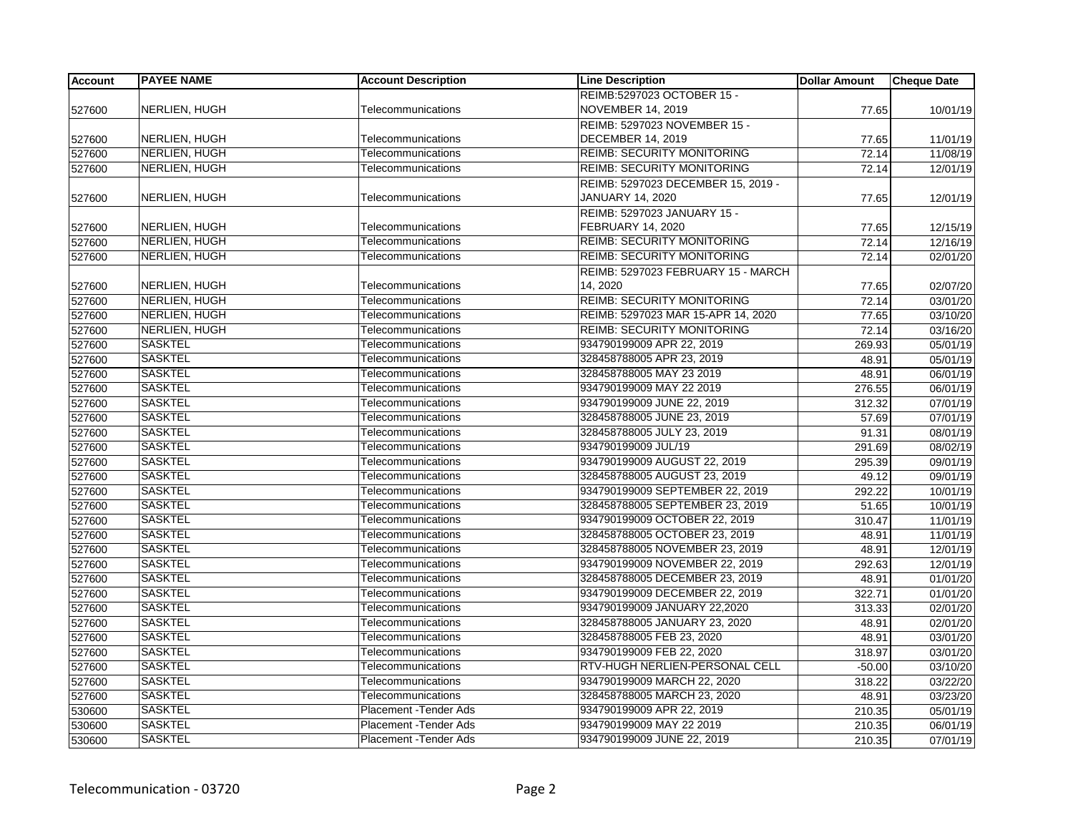| <b>Account</b> | <b>PAYEE NAME</b>    | <b>Account Description</b>    | <b>Line Description</b>            | <b>Dollar Amount</b> | <b>Cheque Date</b>    |
|----------------|----------------------|-------------------------------|------------------------------------|----------------------|-----------------------|
|                |                      |                               | REIMB:5297023 OCTOBER 15 -         |                      |                       |
| 527600         | NERLIEN, HUGH        | Telecommunications            | <b>NOVEMBER 14, 2019</b>           | 77.65                | 10/01/19              |
|                |                      |                               | REIMB: 5297023 NOVEMBER 15 -       |                      |                       |
| 527600         | NERLIEN, HUGH        | Telecommunications            | <b>DECEMBER 14, 2019</b>           | 77.65                | 11/01/19              |
| 527600         | <b>NERLIEN, HUGH</b> | Telecommunications            | <b>REIMB: SECURITY MONITORING</b>  | 72.14                | 11/08/19              |
| 527600         | <b>NERLIEN, HUGH</b> | Telecommunications            | <b>REIMB: SECURITY MONITORING</b>  | 72.14                | 12/01/19              |
|                |                      |                               | REIMB: 5297023 DECEMBER 15, 2019 - |                      |                       |
| 527600         | NERLIEN, HUGH        | Telecommunications            | JANUARY 14, 2020                   | 77.65                | 12/01/19              |
|                |                      |                               | REIMB: 5297023 JANUARY 15 -        |                      |                       |
| 527600         | NERLIEN, HUGH        | Telecommunications            | FEBRUARY 14, 2020                  | 77.65                | 12/15/19              |
| 527600         | NERLIEN, HUGH        | Telecommunications            | <b>REIMB: SECURITY MONITORING</b>  | 72.14                | 12/16/19              |
| 527600         | NERLIEN, HUGH        | Telecommunications            | <b>REIMB: SECURITY MONITORING</b>  | 72.14                | 02/01/20              |
|                |                      |                               | REIMB: 5297023 FEBRUARY 15 - MARCH |                      |                       |
| 527600         | NERLIEN, HUGH        | Telecommunications            | 14.2020                            | 77.65                | 02/07/20              |
| 527600         | NERLIEN, HUGH        | Telecommunications            | <b>REIMB: SECURITY MONITORING</b>  | 72.14                | $\overline{03}/01/20$ |
| 527600         | <b>NERLIEN, HUGH</b> | Telecommunications            | REIMB: 5297023 MAR 15-APR 14, 2020 | 77.65                | 03/10/20              |
| 527600         | NERLIEN, HUGH        | Telecommunications            | <b>REIMB: SECURITY MONITORING</b>  | 72.14                | 03/16/20              |
| 527600         | <b>SASKTEL</b>       | Telecommunications            | 934790199009 APR 22, 2019          | 269.93               | 05/01/19              |
| 527600         | <b>SASKTEL</b>       | Telecommunications            | 328458788005 APR 23, 2019          | 48.91                | 05/01/19              |
| 527600         | <b>SASKTEL</b>       | Telecommunications            | 328458788005 MAY 23 2019           | 48.91                | 06/01/19              |
| 527600         | <b>SASKTEL</b>       | Telecommunications            | 934790199009 MAY 22 2019           | 276.55               | 06/01/19              |
| 527600         | <b>SASKTEL</b>       | Telecommunications            | 934790199009 JUNE 22, 2019         | 312.32               | 07/01/19              |
| 527600         | <b>SASKTEL</b>       | Telecommunications            | 328458788005 JUNE 23, 2019         | 57.69                | 07/01/19              |
| 527600         | <b>SASKTEL</b>       | Telecommunications            | 328458788005 JULY 23, 2019         | 91.31                | 08/01/19              |
| 527600         | <b>SASKTEL</b>       | Telecommunications            | 934790199009 JUL/19                | 291.69               | 08/02/19              |
| 527600         | <b>SASKTEL</b>       | Telecommunications            | 934790199009 AUGUST 22, 2019       | 295.39               | 09/01/19              |
| 527600         | <b>SASKTEL</b>       | Telecommunications            | 328458788005 AUGUST 23, 2019       | 49.12                | 09/01/19              |
| 527600         | <b>SASKTEL</b>       | Telecommunications            | 934790199009 SEPTEMBER 22, 2019    | 292.22               | 10/01/19              |
| 527600         | <b>SASKTEL</b>       | Telecommunications            | 328458788005 SEPTEMBER 23, 2019    | 51.65                | 10/01/19              |
| 527600         | <b>SASKTEL</b>       | Telecommunications            | 934790199009 OCTOBER 22, 2019      | 310.47               | 11/01/19              |
| 527600         | <b>SASKTEL</b>       | Telecommunications            | 328458788005 OCTOBER 23, 2019      | 48.91                | 11/01/19              |
| 527600         | <b>SASKTEL</b>       | Telecommunications            | 328458788005 NOVEMBER 23, 2019     | 48.91                | 12/01/19              |
| 527600         | <b>SASKTEL</b>       | Telecommunications            | 934790199009 NOVEMBER 22, 2019     | 292.63               | 12/01/19              |
| 527600         | <b>SASKTEL</b>       | Telecommunications            | 328458788005 DECEMBER 23, 2019     | 48.91                | 01/01/20              |
| 527600         | <b>SASKTEL</b>       | Telecommunications            | 934790199009 DECEMBER 22, 2019     | 322.71               | 01/01/20              |
| 527600         | <b>SASKTEL</b>       | Telecommunications            | 934790199009 JANUARY 22,2020       | 313.33               | 02/01/20              |
| 527600         | <b>SASKTEL</b>       | Telecommunications            | 328458788005 JANUARY 23, 2020      | 48.91                | 02/01/20              |
| 527600         | <b>SASKTEL</b>       | Telecommunications            | 328458788005 FEB 23, 2020          | 48.91                | 03/01/20              |
| 527600         | <b>SASKTEL</b>       | Telecommunications            | 934790199009 FEB 22, 2020          | 318.97               | 03/01/20              |
| 527600         | <b>SASKTEL</b>       | Telecommunications            | RTV-HUGH NERLIEN-PERSONAL CELL     | $-50.00$             | 03/10/20              |
| 527600         | <b>SASKTEL</b>       | Telecommunications            | 934790199009 MARCH 22, 2020        | 318.22               | 03/22/20              |
| 527600         | <b>SASKTEL</b>       | Telecommunications            | 328458788005 MARCH 23, 2020        | 48.91                | 03/23/20              |
| 530600         | <b>SASKTEL</b>       | Placement - Tender Ads        | 934790199009 APR 22, 2019          | 210.35               | 05/01/19              |
| 530600         | <b>SASKTEL</b>       | Placement -Tender Ads         | 934790199009 MAY 22 2019           | 210.35               | 06/01/19              |
| 530600         | <b>SASKTEL</b>       | <b>Placement - Tender Ads</b> | 934790199009 JUNE 22, 2019         | 210.35               | 07/01/19              |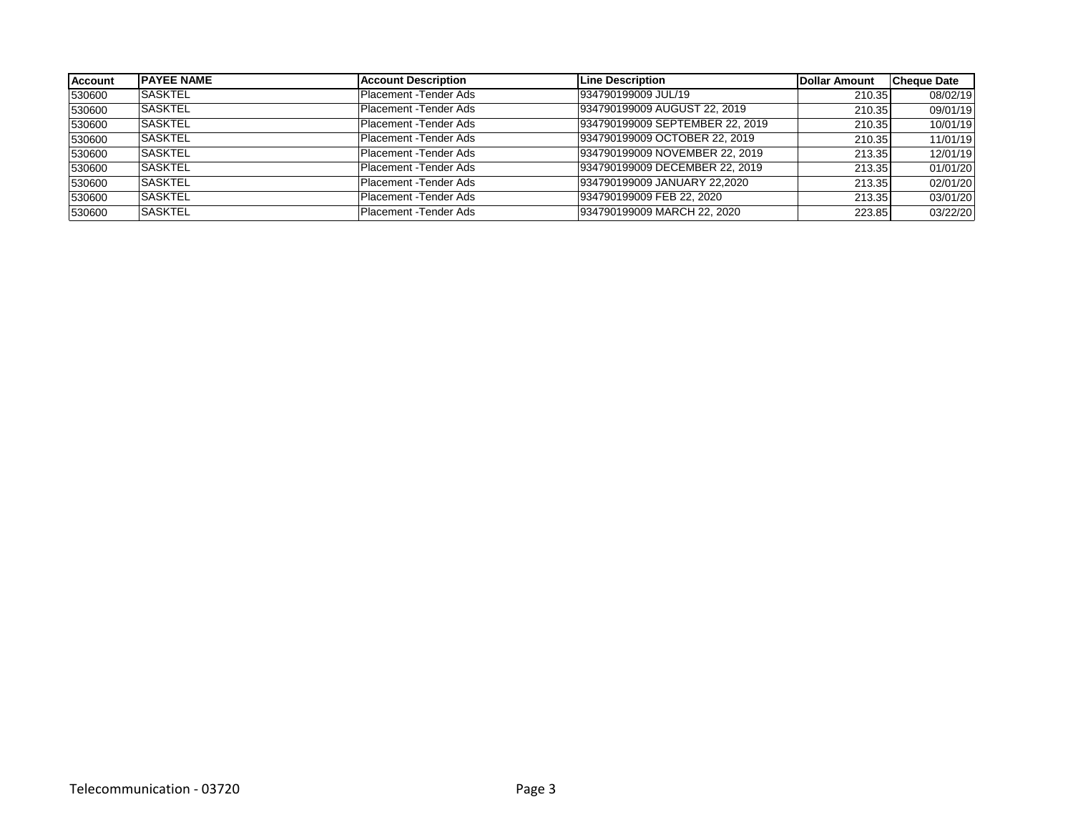| <b>Account</b> | <b>IPAYEE NAME</b> | Account Description    | Line Description                | Dollar Amount | <b>Cheque Date</b> |
|----------------|--------------------|------------------------|---------------------------------|---------------|--------------------|
| 530600         | <b>SASKTEL</b>     | Placement - Tender Ads | 934790199009 JUL/19             | 210.35        | 08/02/19           |
| 530600         | <b>ISASKTEL</b>    | Placement - Tender Ads | 934790199009 AUGUST 22, 2019    | 210.35        | 09/01/19           |
| 530600         | <b>SASKTEL</b>     | Placement - Tender Ads | 934790199009 SEPTEMBER 22, 2019 | 210.35        | 10/01/19           |
| 530600         | <b>SASKTEL</b>     | Placement - Tender Ads | 934790199009 OCTOBER 22, 2019   | 210.35        | 11/01/19           |
| 530600         | <b>ISASKTEL</b>    | Placement - Tender Ads | 934790199009 NOVEMBER 22, 2019  | 213.35        | 12/01/19           |
| 530600         | <b>ISASKTEL</b>    | Placement - Tender Ads | 934790199009 DECEMBER 22, 2019  | 213.35        | 01/01/20           |
| 530600         | <b>SASKTEL</b>     | Placement - Tender Ads | 934790199009 JANUARY 22,2020    | 213.35        | 02/01/20           |
| 530600         | <b>SASKTEL</b>     | Placement - Tender Ads | 934790199009 FEB 22, 2020       | 213.35        | 03/01/20           |
| 530600         | <b>SASKTEL</b>     | Placement - Tender Ads | 934790199009 MARCH 22, 2020     | 223.85        | 03/22/20           |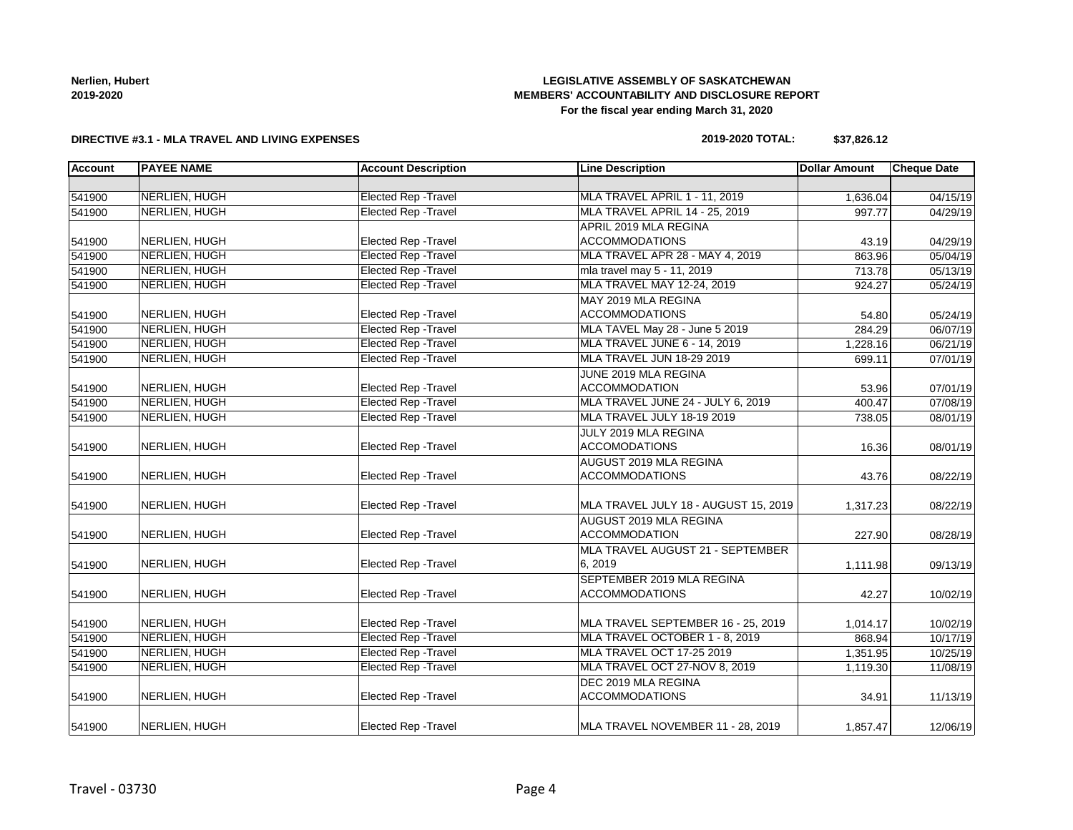**Nerlien, Hubert 2019-2020**

## **LEGISLATIVE ASSEMBLY OF SASKATCHEWAN MEMBERS' ACCOUNTABILITY AND DISCLOSURE REPORT For the fiscal year ending March 31, 2020**

#### **DIRECTIVE #3.1 - MLA TRAVEL AND LIVING EXPENSES**

#### **2019-2020 TOTAL: \$37,826.12**

| <b>Account</b> | <b>PAYEE NAME</b> | <b>Account Description</b>  | <b>Line Description</b>              | <b>Dollar Amount</b> | <b>Cheque Date</b>    |
|----------------|-------------------|-----------------------------|--------------------------------------|----------------------|-----------------------|
|                |                   |                             |                                      |                      |                       |
| 541900         | NERLIEN, HUGH     | <b>Elected Rep - Travel</b> | MLA TRAVEL APRIL 1 - 11, 2019        | 1,636.04             | 04/15/19              |
| 541900         | NERLIEN, HUGH     | <b>Elected Rep - Travel</b> | MLA TRAVEL APRIL 14 - 25, 2019       | 997.77               | 04/29/19              |
|                |                   |                             | APRIL 2019 MLA REGINA                |                      |                       |
| 541900         | NERLIEN, HUGH     | <b>Elected Rep - Travel</b> | <b>ACCOMMODATIONS</b>                | 43.19                | 04/29/19              |
| 541900         | NERLIEN, HUGH     | <b>Elected Rep - Travel</b> | MLA TRAVEL APR 28 - MAY 4, 2019      | 863.96               | 05/04/19              |
| 541900         | NERLIEN, HUGH     | <b>Elected Rep - Travel</b> | mla travel may 5 - 11, 2019          | 713.78               | 05/13/19              |
| 541900         | NERLIEN, HUGH     | <b>Elected Rep - Travel</b> | MLA TRAVEL MAY 12-24, 2019           | 924.27               | 05/24/19              |
|                |                   |                             | MAY 2019 MLA REGINA                  |                      |                       |
| 541900         | NERLIEN, HUGH     | Elected Rep - Travel        | <b>ACCOMMODATIONS</b>                | 54.80                | 05/24/19              |
| 541900         | NERLIEN, HUGH     | <b>Elected Rep - Travel</b> | MLA TAVEL May 28 - June 5 2019       | 284.29               | 06/07/19              |
| 541900         | NERLIEN, HUGH     | Elected Rep - Travel        | MLA TRAVEL JUNE 6 - 14, 2019         | 1,228.16             | 06/21/19              |
| 541900         | NERLIEN, HUGH     | <b>Elected Rep - Travel</b> | MLA TRAVEL JUN 18-29 2019            | 699.11               | 07/01/19              |
|                |                   |                             | JUNE 2019 MLA REGINA                 |                      |                       |
| 541900         | NERLIEN, HUGH     | Elected Rep - Travel        | <b>ACCOMMODATION</b>                 | 53.96                | 07/01/19              |
| 541900         | NERLIEN, HUGH     | <b>Elected Rep - Travel</b> | MLA TRAVEL JUNE 24 - JULY 6, 2019    | 400.47               | $\overline{07/08/19}$ |
| 541900         | NERLIEN, HUGH     | <b>Elected Rep - Travel</b> | MLA TRAVEL JULY 18-19 2019           | 738.05               | 08/01/19              |
|                |                   |                             | JULY 2019 MLA REGINA                 |                      |                       |
| 541900         | NERLIEN, HUGH     | <b>Elected Rep - Travel</b> | <b>ACCOMODATIONS</b>                 | 16.36                | 08/01/19              |
|                |                   |                             | AUGUST 2019 MLA REGINA               |                      |                       |
| 541900         | NERLIEN, HUGH     | Elected Rep - Travel        | <b>ACCOMMODATIONS</b>                | 43.76                | 08/22/19              |
| 541900         | NERLIEN, HUGH     | Elected Rep - Travel        | MLA TRAVEL JULY 18 - AUGUST 15, 2019 | 1,317.23             | 08/22/19              |
|                |                   |                             | AUGUST 2019 MLA REGINA               |                      |                       |
| 541900         | NERLIEN, HUGH     | <b>Elected Rep - Travel</b> | <b>ACCOMMODATION</b>                 | 227.90               | 08/28/19              |
|                |                   |                             | MLA TRAVEL AUGUST 21 - SEPTEMBER     |                      |                       |
| 541900         | NERLIEN, HUGH     | Elected Rep - Travel        | 6,2019                               |                      |                       |
|                |                   |                             | SEPTEMBER 2019 MLA REGINA            | 1,111.98             | 09/13/19              |
| 541900         | NERLIEN, HUGH     | <b>Elected Rep - Travel</b> | <b>ACCOMMODATIONS</b>                | 42.27                | 10/02/19              |
|                |                   |                             |                                      |                      |                       |
| 541900         | NERLIEN, HUGH     | <b>Elected Rep - Travel</b> | MLA TRAVEL SEPTEMBER 16 - 25, 2019   | 1,014.17             | 10/02/19              |
| 541900         | NERLIEN, HUGH     | <b>Elected Rep - Travel</b> | MLA TRAVEL OCTOBER 1 - 8, 2019       | 868.94               | 10/17/19              |
| 541900         | NERLIEN, HUGH     | <b>Elected Rep - Travel</b> | MLA TRAVEL OCT 17-25 2019            | 1,351.95             | 10/25/19              |
| 541900         | NERLIEN, HUGH     | <b>Elected Rep - Travel</b> | MLA TRAVEL OCT 27-NOV 8, 2019        | 1,119.30             | 11/08/19              |
|                |                   |                             | DEC 2019 MLA REGINA                  |                      |                       |
| 541900         | NERLIEN, HUGH     | Elected Rep - Travel        | <b>ACCOMMODATIONS</b>                | 34.91                | 11/13/19              |
|                |                   |                             |                                      |                      |                       |
| 541900         | NERLIEN, HUGH     | <b>Elected Rep - Travel</b> | MLA TRAVEL NOVEMBER 11 - 28, 2019    | 1,857.47             | 12/06/19              |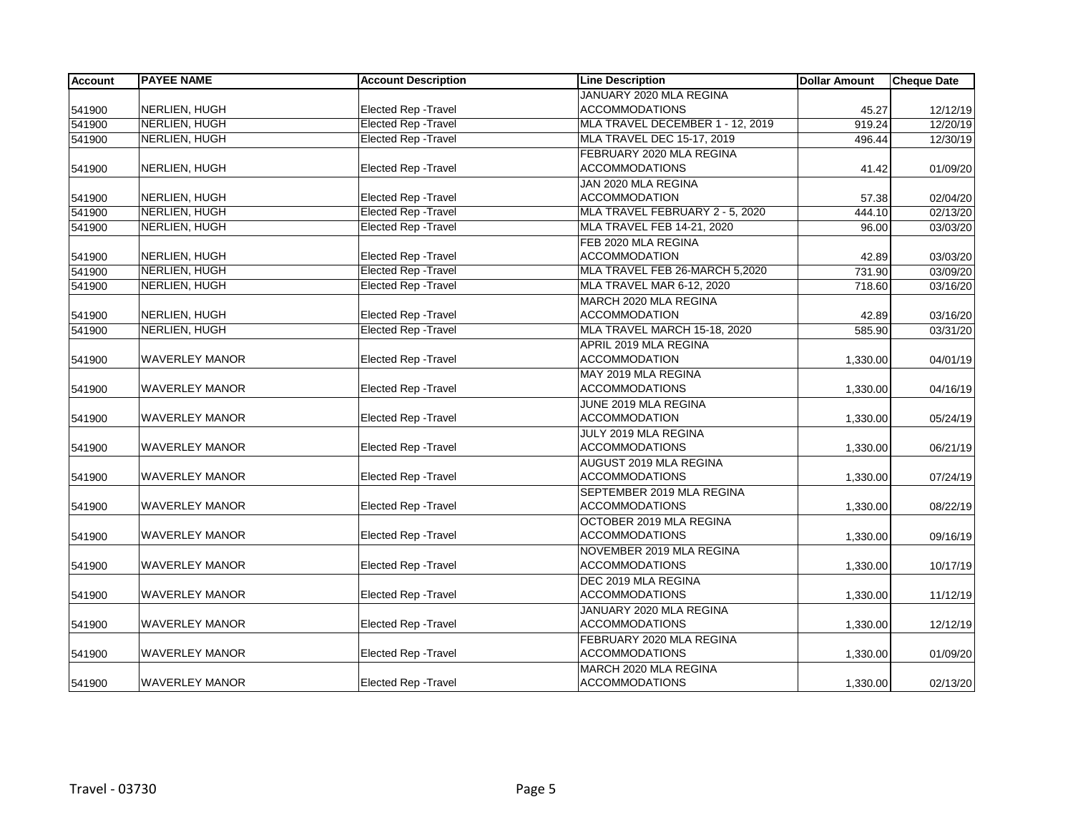| <b>Account</b> | <b>PAYEE NAME</b>     | <b>Account Description</b>  | <b>Line Description</b>           | <b>Dollar Amount</b> | <b>Cheque Date</b> |
|----------------|-----------------------|-----------------------------|-----------------------------------|----------------------|--------------------|
|                |                       |                             | JANUARY 2020 MLA REGINA           |                      |                    |
| 541900         | NERLIEN, HUGH         | <b>Elected Rep - Travel</b> | <b>ACCOMMODATIONS</b>             | 45.27                | 12/12/19           |
| 541900         | NERLIEN, HUGH         | <b>Elected Rep - Travel</b> | MLA TRAVEL DECEMBER 1 - 12, 2019  | 919.24               | 12/20/19           |
| 541900         | <b>NERLIEN, HUGH</b>  | <b>Elected Rep - Travel</b> | MLA TRAVEL DEC 15-17, 2019        | 496.44               | 12/30/19           |
|                |                       |                             | FEBRUARY 2020 MLA REGINA          |                      |                    |
| 541900         | NERLIEN, HUGH         | Elected Rep - Travel        | <b>ACCOMMODATIONS</b>             | 41.42                | 01/09/20           |
|                |                       |                             | JAN 2020 MLA REGINA               |                      |                    |
| 541900         | NERLIEN, HUGH         | Elected Rep - Travel        | <b>ACCOMMODATION</b>              | 57.38                | 02/04/20           |
| 541900         | NERLIEN, HUGH         | <b>Elected Rep - Travel</b> | MLA TRAVEL FEBRUARY 2 - 5, 2020   | 444.10               | 02/13/20           |
| 541900         | NERLIEN, HUGH         | <b>Elected Rep - Travel</b> | <b>MLA TRAVEL FEB 14-21, 2020</b> | 96.00                | 03/03/20           |
|                |                       |                             | FEB 2020 MLA REGINA               |                      |                    |
| 541900         | NERLIEN, HUGH         | Elected Rep - Travel        | <b>ACCOMMODATION</b>              | 42.89                | 03/03/20           |
| 541900         | NERLIEN, HUGH         | <b>Elected Rep - Travel</b> | MLA TRAVEL FEB 26-MARCH 5,2020    | 731.90               | 03/09/20           |
| 541900         | <b>NERLIEN, HUGH</b>  | <b>Elected Rep - Travel</b> | MLA TRAVEL MAR 6-12, 2020         | 718.60               | 03/16/20           |
|                |                       |                             | MARCH 2020 MLA REGINA             |                      |                    |
| 541900         | NERLIEN, HUGH         | Elected Rep - Travel        | <b>ACCOMMODATION</b>              | 42.89                | 03/16/20           |
| 541900         | <b>NERLIEN, HUGH</b>  | <b>Elected Rep - Travel</b> | MLA TRAVEL MARCH 15-18, 2020      | 585.90               | 03/31/20           |
|                |                       |                             | APRIL 2019 MLA REGINA             |                      |                    |
| 541900         | <b>WAVERLEY MANOR</b> | Elected Rep - Travel        | <b>ACCOMMODATION</b>              | 1,330.00             | 04/01/19           |
|                |                       |                             | MAY 2019 MLA REGINA               |                      |                    |
| 541900         | <b>WAVERLEY MANOR</b> | Elected Rep - Travel        | <b>ACCOMMODATIONS</b>             | 1,330.00             | 04/16/19           |
|                |                       |                             | JUNE 2019 MLA REGINA              |                      |                    |
| 541900         | <b>WAVERLEY MANOR</b> | Elected Rep - Travel        | <b>ACCOMMODATION</b>              | 1,330.00             | 05/24/19           |
|                |                       |                             | JULY 2019 MLA REGINA              |                      |                    |
| 541900         | WAVERLEY MANOR        | <b>Elected Rep - Travel</b> | <b>ACCOMMODATIONS</b>             | 1,330.00             | 06/21/19           |
|                |                       |                             | AUGUST 2019 MLA REGINA            |                      |                    |
| 541900         | <b>WAVERLEY MANOR</b> | <b>Elected Rep - Travel</b> | <b>ACCOMMODATIONS</b>             | 1,330.00             | 07/24/19           |
|                |                       |                             | SEPTEMBER 2019 MLA REGINA         |                      |                    |
| 541900         | WAVERLEY MANOR        | Elected Rep - Travel        | ACCOMMODATIONS                    | 1,330.00             | 08/22/19           |
|                |                       |                             | OCTOBER 2019 MLA REGINA           |                      |                    |
| 541900         | WAVERLEY MANOR        | Elected Rep - Travel        | <b>ACCOMMODATIONS</b>             | 1,330.00             | 09/16/19           |
|                |                       |                             | NOVEMBER 2019 MLA REGINA          |                      |                    |
| 541900         | <b>WAVERLEY MANOR</b> | Elected Rep - Travel        | <b>ACCOMMODATIONS</b>             | 1,330.00             | 10/17/19           |
|                |                       |                             | DEC 2019 MLA REGINA               |                      |                    |
| 541900         | <b>WAVERLEY MANOR</b> | Elected Rep - Travel        | <b>ACCOMMODATIONS</b>             | 1,330.00             | 11/12/19           |
|                |                       |                             | JANUARY 2020 MLA REGINA           |                      |                    |
| 541900         | <b>WAVERLEY MANOR</b> | Elected Rep - Travel        | <b>ACCOMMODATIONS</b>             | 1,330.00             | 12/12/19           |
|                |                       |                             | FEBRUARY 2020 MLA REGINA          |                      |                    |
| 541900         | <b>WAVERLEY MANOR</b> | Elected Rep - Travel        | <b>ACCOMMODATIONS</b>             | 1,330.00             | 01/09/20           |
|                |                       |                             | MARCH 2020 MLA REGINA             |                      |                    |
| 541900         | <b>WAVERLEY MANOR</b> | <b>Elected Rep - Travel</b> | <b>ACCOMMODATIONS</b>             | 1,330.00             | 02/13/20           |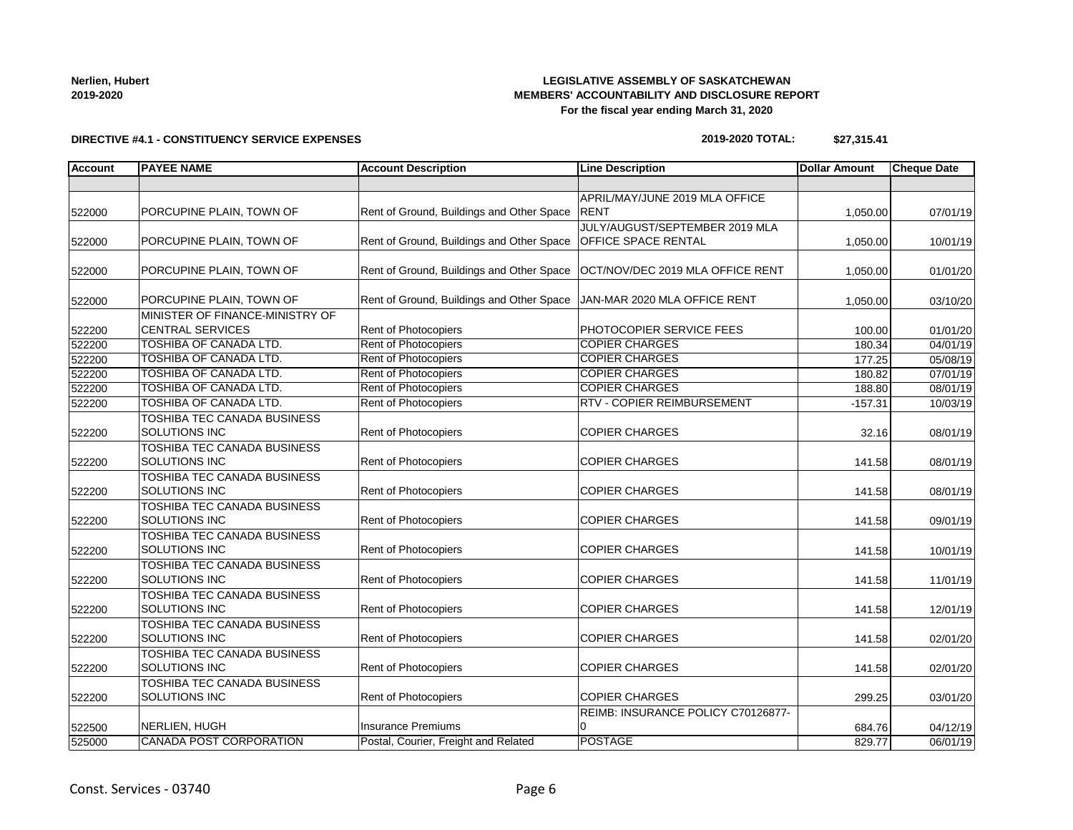#### **Nerlien, Hubert 2019-2020**

## **LEGISLATIVE ASSEMBLY OF SASKATCHEWAN MEMBERS' ACCOUNTABILITY AND DISCLOSURE REPORT For the fiscal year ending March 31, 2020**

## **DIRECTIVE #4.1 - CONSTITUENCY SERVICE EXPENSES**

#### **2019-2020 TOTAL: \$27,315.41**

| <b>Account</b> | <b>PAYEE NAME</b>                  | <b>Account Description</b>                | <b>Line Description</b>            | <b>Dollar Amount</b> | <b>Cheque Date</b> |
|----------------|------------------------------------|-------------------------------------------|------------------------------------|----------------------|--------------------|
|                |                                    |                                           |                                    |                      |                    |
|                |                                    |                                           | APRIL/MAY/JUNE 2019 MLA OFFICE     |                      |                    |
| 522000         | PORCUPINE PLAIN, TOWN OF           | Rent of Ground, Buildings and Other Space | <b>RENT</b>                        | 1,050.00             | 07/01/19           |
|                |                                    |                                           | JULY/AUGUST/SEPTEMBER 2019 MLA     |                      |                    |
| 522000         | PORCUPINE PLAIN, TOWN OF           | Rent of Ground, Buildings and Other Space | <b>OFFICE SPACE RENTAL</b>         | 1,050.00             | 10/01/19           |
| 522000         | PORCUPINE PLAIN, TOWN OF           | Rent of Ground, Buildings and Other Space | OCT/NOV/DEC 2019 MLA OFFICE RENT   |                      | 01/01/20           |
|                |                                    |                                           |                                    | 1,050.00             |                    |
| 522000         | PORCUPINE PLAIN, TOWN OF           | Rent of Ground, Buildings and Other Space | JAN-MAR 2020 MLA OFFICE RENT       | 1,050.00             | 03/10/20           |
|                | MINISTER OF FINANCE-MINISTRY OF    |                                           |                                    |                      |                    |
| 522200         | <b>CENTRAL SERVICES</b>            | Rent of Photocopiers                      | PHOTOCOPIER SERVICE FEES           | 100.00               | 01/01/20           |
| 522200         | TOSHIBA OF CANADA LTD.             | Rent of Photocopiers                      | <b>COPIER CHARGES</b>              | 180.34               | 04/01/19           |
| 522200         | TOSHIBA OF CANADA LTD.             | Rent of Photocopiers                      | <b>COPIER CHARGES</b>              | 177.25               | 05/08/19           |
| 522200         | TOSHIBA OF CANADA LTD.             | Rent of Photocopiers                      | <b>COPIER CHARGES</b>              | 180.82               | 07/01/19           |
| 522200         | TOSHIBA OF CANADA LTD.             | Rent of Photocopiers                      | <b>COPIER CHARGES</b>              | 188.80               | 08/01/19           |
| 522200         | <b>TOSHIBA OF CANADA LTD.</b>      | Rent of Photocopiers                      | RTV - COPIER REIMBURSEMENT         | $-157.31$            | 10/03/19           |
|                | TOSHIBA TEC CANADA BUSINESS        |                                           |                                    |                      |                    |
| 522200         | <b>SOLUTIONS INC</b>               | <b>Rent of Photocopiers</b>               | <b>COPIER CHARGES</b>              | 32.16                | 08/01/19           |
|                | TOSHIBA TEC CANADA BUSINESS        |                                           |                                    |                      |                    |
| 522200         | <b>SOLUTIONS INC</b>               | Rent of Photocopiers                      | <b>COPIER CHARGES</b>              | 141.58               | 08/01/19           |
|                | <b>TOSHIBA TEC CANADA BUSINESS</b> |                                           |                                    |                      |                    |
| 522200         | <b>SOLUTIONS INC</b>               | <b>Rent of Photocopiers</b>               | <b>COPIER CHARGES</b>              | 141.58               | 08/01/19           |
|                | <b>TOSHIBA TEC CANADA BUSINESS</b> |                                           |                                    |                      |                    |
| 522200         | SOLUTIONS INC                      | Rent of Photocopiers                      | <b>COPIER CHARGES</b>              | 141.58               | 09/01/19           |
|                | TOSHIBA TEC CANADA BUSINESS        |                                           |                                    |                      |                    |
| 522200         | SOLUTIONS INC                      | Rent of Photocopiers                      | <b>COPIER CHARGES</b>              | 141.58               | 10/01/19           |
|                | TOSHIBA TEC CANADA BUSINESS        |                                           |                                    |                      |                    |
| 522200         | SOLUTIONS INC                      | Rent of Photocopiers                      | <b>COPIER CHARGES</b>              | 141.58               | 11/01/19           |
|                | TOSHIBA TEC CANADA BUSINESS        |                                           |                                    |                      |                    |
| 522200         | <b>SOLUTIONS INC</b>               | Rent of Photocopiers                      | <b>COPIER CHARGES</b>              | 141.58               | 12/01/19           |
|                | TOSHIBA TEC CANADA BUSINESS        |                                           |                                    |                      |                    |
| 522200         | <b>SOLUTIONS INC</b>               | Rent of Photocopiers                      | <b>COPIER CHARGES</b>              | 141.58               | 02/01/20           |
|                | TOSHIBA TEC CANADA BUSINESS        |                                           |                                    |                      |                    |
| 522200         | <b>SOLUTIONS INC</b>               | <b>Rent of Photocopiers</b>               | <b>COPIER CHARGES</b>              | 141.58               | 02/01/20           |
|                | TOSHIBA TEC CANADA BUSINESS        |                                           |                                    |                      |                    |
| 522200         | SOLUTIONS INC                      | Rent of Photocopiers                      | <b>COPIER CHARGES</b>              | 299.25               | 03/01/20           |
|                |                                    |                                           | REIMB: INSURANCE POLICY C70126877- |                      |                    |
| 522500         | NERLIEN, HUGH                      | <b>Insurance Premiums</b>                 | 0                                  | 684.76               | 04/12/19           |
| 525000         | <b>CANADA POST CORPORATION</b>     | Postal, Courier, Freight and Related      | <b>POSTAGE</b>                     | 829.77               | 06/01/19           |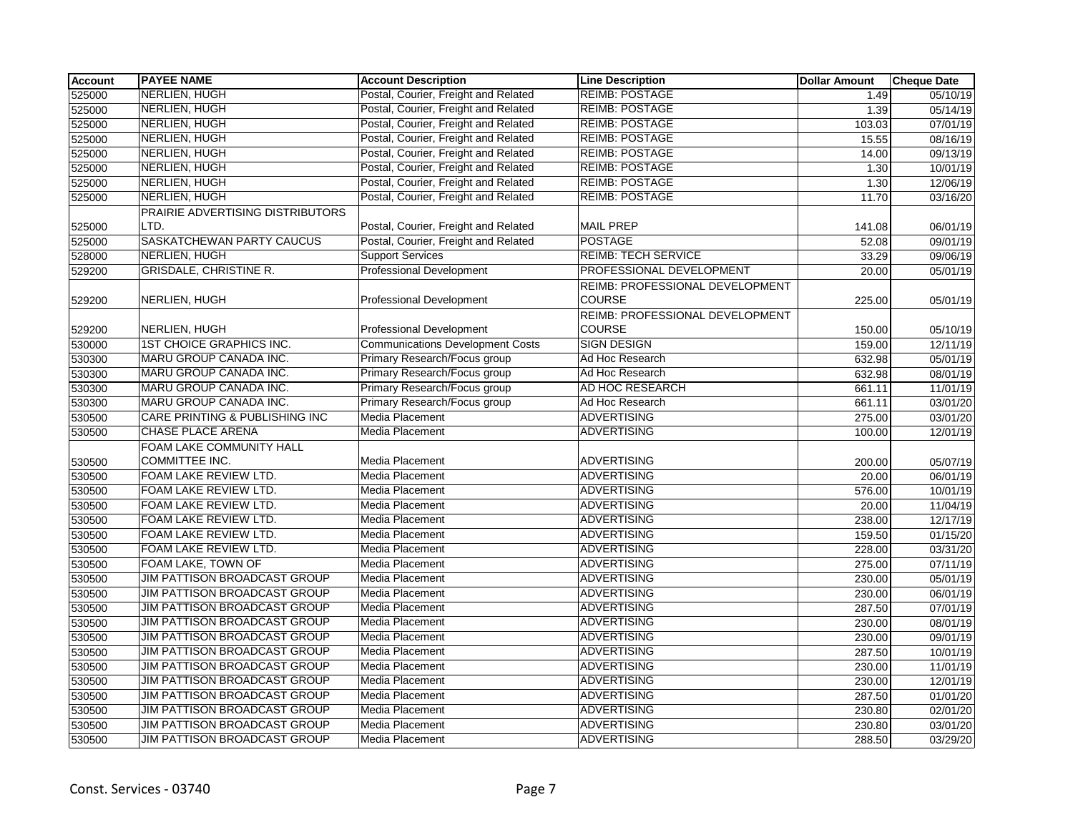| <b>Account</b> | <b>PAYEE NAME</b>                   | <b>Account Description</b>              | <b>Line Description</b>                | <b>Dollar Amount</b> | <b>Cheque Date</b> |
|----------------|-------------------------------------|-----------------------------------------|----------------------------------------|----------------------|--------------------|
| 525000         | NERLIEN, HUGH                       | Postal, Courier, Freight and Related    | <b>REIMB: POSTAGE</b>                  | 1.49                 | 05/10/19           |
| 525000         | <b>NERLIEN, HUGH</b>                | Postal, Courier, Freight and Related    | <b>REIMB: POSTAGE</b>                  | 1.39                 | 05/14/19           |
| 525000         | NERLIEN, HUGH                       | Postal, Courier, Freight and Related    | <b>REIMB: POSTAGE</b>                  | 103.03               | 07/01/19           |
| 525000         | NERLIEN, HUGH                       | Postal, Courier, Freight and Related    | <b>REIMB: POSTAGE</b>                  | 15.55                | 08/16/19           |
| 525000         | <b>NERLIEN, HUGH</b>                | Postal, Courier, Freight and Related    | <b>REIMB: POSTAGE</b>                  | 14.00                | 09/13/19           |
| 525000         | <b>NERLIEN, HUGH</b>                | Postal, Courier, Freight and Related    | <b>REIMB: POSTAGE</b>                  | 1.30                 | 10/01/19           |
| 525000         | <b>NERLIEN, HUGH</b>                | Postal, Courier, Freight and Related    | <b>REIMB: POSTAGE</b>                  | 1.30                 | 12/06/19           |
| 525000         | <b>NERLIEN, HUGH</b>                | Postal, Courier, Freight and Related    | <b>REIMB: POSTAGE</b>                  | 11.70                | 03/16/20           |
|                | PRAIRIE ADVERTISING DISTRIBUTORS    |                                         |                                        |                      |                    |
| 525000         | LTD.                                | Postal, Courier, Freight and Related    | <b>MAIL PREP</b>                       | 141.08               | 06/01/19           |
| 525000         | SASKATCHEWAN PARTY CAUCUS           | Postal, Courier, Freight and Related    | <b>POSTAGE</b>                         | 52.08                | 09/01/19           |
| 528000         | NERLIEN, HUGH                       | <b>Support Services</b>                 | <b>REIMB: TECH SERVICE</b>             | 33.29                | 09/06/19           |
| 529200         | GRISDALE, CHRISTINE R.              | <b>Professional Development</b>         | PROFESSIONAL DEVELOPMENT               | 20.00                | 05/01/19           |
|                |                                     |                                         | <b>REIMB: PROFESSIONAL DEVELOPMENT</b> |                      |                    |
| 529200         | NERLIEN, HUGH                       | <b>Professional Development</b>         | <b>COURSE</b>                          | 225.00               | 05/01/19           |
|                |                                     |                                         | REIMB: PROFESSIONAL DEVELOPMENT        |                      |                    |
| 529200         | NERLIEN, HUGH                       | <b>Professional Development</b>         | <b>COURSE</b>                          | 150.00               | 05/10/19           |
| 530000         | <b>1ST CHOICE GRAPHICS INC.</b>     | <b>Communications Development Costs</b> | <b>SIGN DESIGN</b>                     | 159.00               | 12/11/19           |
| 530300         | MARU GROUP CANADA INC.              | Primary Research/Focus group            | Ad Hoc Research                        | 632.98               | 05/01/19           |
| 530300         | MARU GROUP CANADA INC.              | Primary Research/Focus group            | Ad Hoc Research                        | 632.98               | 08/01/19           |
| 530300         | MARU GROUP CANADA INC.              | Primary Research/Focus group            | AD HOC RESEARCH                        | 661.11               | 11/01/19           |
| 530300         | MARU GROUP CANADA INC.              | Primary Research/Focus group            | Ad Hoc Research                        | 661.11               | 03/01/20           |
| 530500         | CARE PRINTING & PUBLISHING INC      | <b>Media Placement</b>                  | <b>ADVERTISING</b>                     | 275.00               | 03/01/20           |
| 530500         | <b>CHASE PLACE ARENA</b>            | Media Placement                         | <b>ADVERTISING</b>                     | 100.00               | 12/01/19           |
|                | FOAM LAKE COMMUNITY HALL            |                                         |                                        |                      |                    |
| 530500         | COMMITTEE INC.                      | Media Placement                         | <b>ADVERTISING</b>                     | 200.00               | 05/07/19           |
| 530500         | FOAM LAKE REVIEW LTD.               | Media Placement                         | <b>ADVERTISING</b>                     | 20.00                | 06/01/19           |
| 530500         | FOAM LAKE REVIEW LTD.               | Media Placement                         | <b>ADVERTISING</b>                     | 576.00               | 10/01/19           |
| 530500         | FOAM LAKE REVIEW LTD.               | <b>Media Placement</b>                  | <b>ADVERTISING</b>                     | 20.00                | 11/04/19           |
| 530500         | FOAM LAKE REVIEW LTD.               | Media Placement                         | <b>ADVERTISING</b>                     | 238.00               | 12/17/19           |
| 530500         | FOAM LAKE REVIEW LTD.               | Media Placement                         | <b>ADVERTISING</b>                     | 159.50               | 01/15/20           |
| 530500         | FOAM LAKE REVIEW LTD.               | Media Placement                         | <b>ADVERTISING</b>                     | 228.00               | 03/31/20           |
| 530500         | FOAM LAKE, TOWN OF                  | Media Placement                         | <b>ADVERTISING</b>                     | 275.00               | 07/11/19           |
| 530500         | JIM PATTISON BROADCAST GROUP        | Media Placement                         | <b>ADVERTISING</b>                     | 230.00               | 05/01/19           |
| 530500         | <b>JIM PATTISON BROADCAST GROUP</b> | <b>Media Placement</b>                  | <b>ADVERTISING</b>                     | 230.00               | 06/01/19           |
| 530500         | <b>JIM PATTISON BROADCAST GROUP</b> | Media Placement                         | <b>ADVERTISING</b>                     | 287.50               | 07/01/19           |
| 530500         | JIM PATTISON BROADCAST GROUP        | Media Placement                         | <b>ADVERTISING</b>                     | 230.00               | 08/01/19           |
| 530500         | JIM PATTISON BROADCAST GROUP        | Media Placement                         | <b>ADVERTISING</b>                     | 230.00               | 09/01/19           |
| 530500         | <b>JIM PATTISON BROADCAST GROUP</b> | Media Placement                         | <b>ADVERTISING</b>                     | 287.50               | 10/01/19           |
| 530500         | <b>JIM PATTISON BROADCAST GROUP</b> | Media Placement                         | <b>ADVERTISING</b>                     | 230.00               | 11/01/19           |
| 530500         | <b>JIM PATTISON BROADCAST GROUP</b> | <b>Media Placement</b>                  | <b>ADVERTISING</b>                     | 230.00               | 12/01/19           |
| 530500         | JIM PATTISON BROADCAST GROUP        | Media Placement                         | <b>ADVERTISING</b>                     | 287.50               | 01/01/20           |
| 530500         | JIM PATTISON BROADCAST GROUP        | Media Placement                         | <b>ADVERTISING</b>                     | 230.80               | 02/01/20           |
| 530500         | <b>JIM PATTISON BROADCAST GROUP</b> | Media Placement                         | <b>ADVERTISING</b>                     | 230.80               | 03/01/20           |
| 530500         | JIM PATTISON BROADCAST GROUP        | Media Placement                         | <b>ADVERTISING</b>                     | 288.50               | 03/29/20           |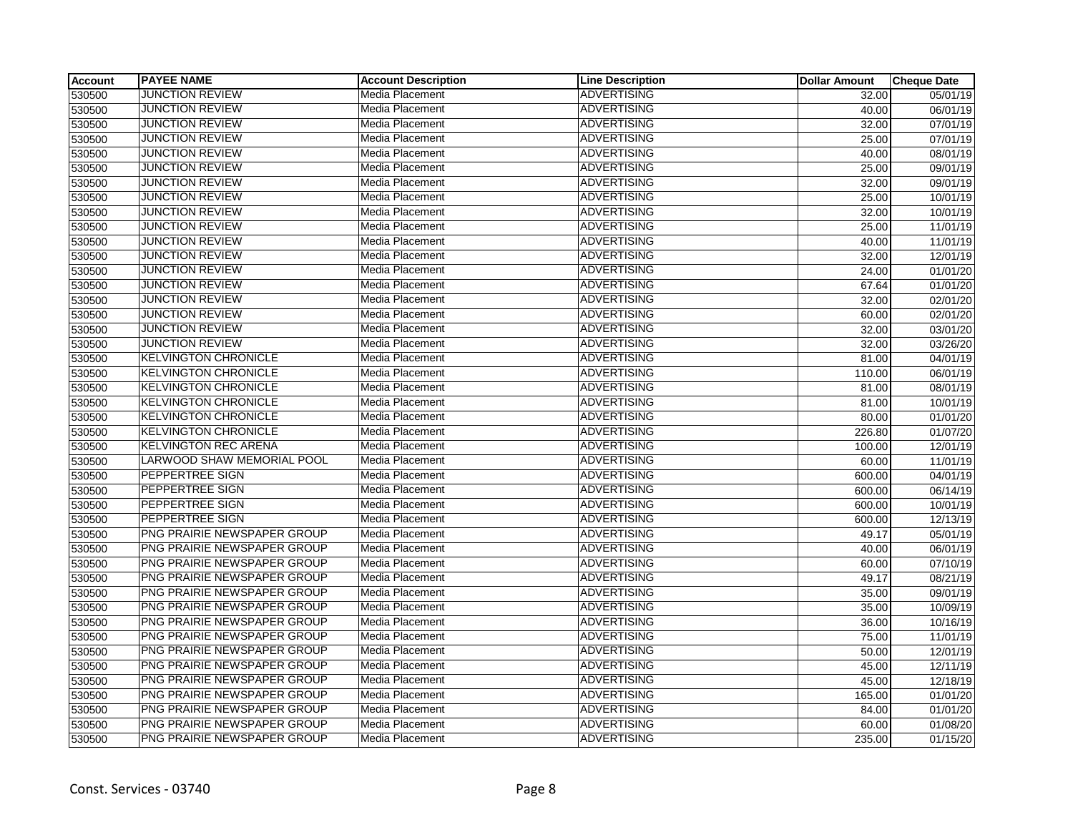| Account | <b>PAYEE NAME</b>           | <b>Account Description</b> | <b>Line Description</b> | <b>Dollar Amount</b> | <b>Cheque Date</b> |
|---------|-----------------------------|----------------------------|-------------------------|----------------------|--------------------|
| 530500  | JUNCTION REVIEW             | Media Placement            | <b>ADVERTISING</b>      | 32.00                | 05/01/19           |
| 530500  | <b>JUNCTION REVIEW</b>      | Media Placement            | <b>ADVERTISING</b>      | 40.00                | 06/01/19           |
| 530500  | <b>JUNCTION REVIEW</b>      | Media Placement            | <b>ADVERTISING</b>      | 32.00                | 07/01/19           |
| 530500  | <b>JUNCTION REVIEW</b>      | Media Placement            | <b>ADVERTISING</b>      | 25.00                | 07/01/19           |
| 530500  | <b>JUNCTION REVIEW</b>      | Media Placement            | <b>ADVERTISING</b>      | 40.00                | 08/01/19           |
| 530500  | <b>JUNCTION REVIEW</b>      | Media Placement            | <b>ADVERTISING</b>      | 25.00                | 09/01/19           |
| 530500  | <b>JUNCTION REVIEW</b>      | Media Placement            | <b>ADVERTISING</b>      | 32.00                | 09/01/19           |
| 530500  | <b>JUNCTION REVIEW</b>      | Media Placement            | <b>ADVERTISING</b>      | 25.00                | 10/01/19           |
| 530500  | <b>JUNCTION REVIEW</b>      | Media Placement            | <b>ADVERTISING</b>      | 32.00                | 10/01/19           |
| 530500  | <b>JUNCTION REVIEW</b>      | Media Placement            | <b>ADVERTISING</b>      | 25.00                | 11/01/19           |
| 530500  | <b>JUNCTION REVIEW</b>      | Media Placement            | <b>ADVERTISING</b>      | 40.00                | 11/01/19           |
| 530500  | <b>JUNCTION REVIEW</b>      | Media Placement            | <b>ADVERTISING</b>      | 32.00                | 12/01/19           |
| 530500  | <b>JUNCTION REVIEW</b>      | <b>Media Placement</b>     | <b>ADVERTISING</b>      | 24.00                | 01/01/20           |
| 530500  | <b>JUNCTION REVIEW</b>      | Media Placement            | <b>ADVERTISING</b>      | 67.64                | 01/01/20           |
| 530500  | <b>JUNCTION REVIEW</b>      | Media Placement            | <b>ADVERTISING</b>      | 32.00                | 02/01/20           |
| 530500  | <b>JUNCTION REVIEW</b>      | Media Placement            | <b>ADVERTISING</b>      | 60.00                | 02/01/20           |
| 530500  | <b>JUNCTION REVIEW</b>      | Media Placement            | <b>ADVERTISING</b>      | 32.00                | 03/01/20           |
| 530500  | <b>JUNCTION REVIEW</b>      | Media Placement            | <b>ADVERTISING</b>      | 32.00                | 03/26/20           |
| 530500  | <b>KELVINGTON CHRONICLE</b> | Media Placement            | <b>ADVERTISING</b>      | 81.00                | 04/01/19           |
| 530500  | <b>KELVINGTON CHRONICLE</b> | Media Placement            | <b>ADVERTISING</b>      | 110.00               | 06/01/19           |
| 530500  | <b>KELVINGTON CHRONICLE</b> | Media Placement            | <b>ADVERTISING</b>      | 81.00                | 08/01/19           |
| 530500  | <b>KELVINGTON CHRONICLE</b> | Media Placement            | <b>ADVERTISING</b>      | 81.00                | 10/01/19           |
| 530500  | <b>KELVINGTON CHRONICLE</b> | Media Placement            | <b>ADVERTISING</b>      | 80.00                | 01/01/20           |
| 530500  | <b>KELVINGTON CHRONICLE</b> | Media Placement            | <b>ADVERTISING</b>      | 226.80               | 01/07/20           |
| 530500  | <b>KELVINGTON REC ARENA</b> | Media Placement            | <b>ADVERTISING</b>      | 100.00               | 12/01/19           |
| 530500  | LARWOOD SHAW MEMORIAL POOL  | Media Placement            | <b>ADVERTISING</b>      | 60.00                | 11/01/19           |
| 530500  | PEPPERTREE SIGN             | Media Placement            | <b>ADVERTISING</b>      | 600.00               | 04/01/19           |
| 530500  | PEPPERTREE SIGN             | Media Placement            | <b>ADVERTISING</b>      | 600.00               | 06/14/19           |
| 530500  | PEPPERTREE SIGN             | Media Placement            | <b>ADVERTISING</b>      | 600.00               | 10/01/19           |
| 530500  | PEPPERTREE SIGN             | Media Placement            | <b>ADVERTISING</b>      | 600.00               | 12/13/19           |
| 530500  | PNG PRAIRIE NEWSPAPER GROUP | Media Placement            | <b>ADVERTISING</b>      | 49.17                | 05/01/19           |
| 530500  | PNG PRAIRIE NEWSPAPER GROUP | Media Placement            | <b>ADVERTISING</b>      | 40.00                | 06/01/19           |
| 530500  | PNG PRAIRIE NEWSPAPER GROUP | Media Placement            | <b>ADVERTISING</b>      | 60.00                | 07/10/19           |
| 530500  | PNG PRAIRIE NEWSPAPER GROUP | Media Placement            | <b>ADVERTISING</b>      | 49.17                | 08/21/19           |
| 530500  | PNG PRAIRIE NEWSPAPER GROUP | Media Placement            | <b>ADVERTISING</b>      | 35.00                | 09/01/19           |
| 530500  | PNG PRAIRIE NEWSPAPER GROUP | Media Placement            | <b>ADVERTISING</b>      | 35.00                | 10/09/19           |
| 530500  | PNG PRAIRIE NEWSPAPER GROUP | Media Placement            | <b>ADVERTISING</b>      | 36.00                | 10/16/19           |
| 530500  | PNG PRAIRIE NEWSPAPER GROUP | Media Placement            | <b>ADVERTISING</b>      | 75.00                | 11/01/19           |
| 530500  | PNG PRAIRIE NEWSPAPER GROUP | Media Placement            | <b>ADVERTISING</b>      | 50.00                | 12/01/19           |
| 530500  | PNG PRAIRIE NEWSPAPER GROUP | Media Placement            | <b>ADVERTISING</b>      | 45.00                | 12/11/19           |
| 530500  | PNG PRAIRIE NEWSPAPER GROUP | Media Placement            | <b>ADVERTISING</b>      | 45.00                | 12/18/19           |
| 530500  | PNG PRAIRIE NEWSPAPER GROUP | Media Placement            | <b>ADVERTISING</b>      | 165.00               | 01/01/20           |
| 530500  | PNG PRAIRIE NEWSPAPER GROUP | Media Placement            | <b>ADVERTISING</b>      | 84.00                | 01/01/20           |
| 530500  | PNG PRAIRIE NEWSPAPER GROUP | Media Placement            | <b>ADVERTISING</b>      | 60.00                | 01/08/20           |
| 530500  | PNG PRAIRIE NEWSPAPER GROUP | Media Placement            | <b>ADVERTISING</b>      | 235.00               | 01/15/20           |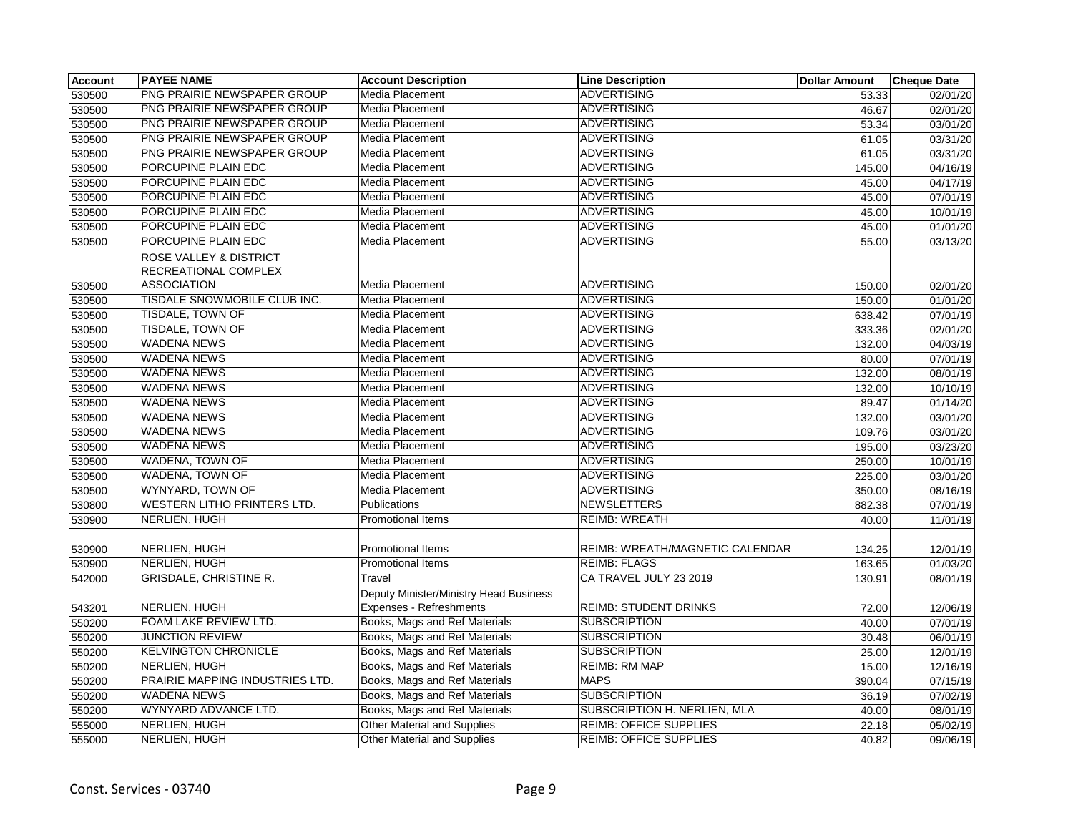| <b>Account</b> | <b>PAYEE NAME</b>                              | <b>Account Description</b>                                        | <b>Line Description</b>         | <b>Dollar Amount</b> | <b>Cheque Date</b>    |
|----------------|------------------------------------------------|-------------------------------------------------------------------|---------------------------------|----------------------|-----------------------|
| 530500         | PNG PRAIRIE NEWSPAPER GROUP                    | Media Placement                                                   | <b>ADVERTISING</b>              | 53.33                | 02/01/20              |
| 530500         | PNG PRAIRIE NEWSPAPER GROUP                    | <b>Media Placement</b>                                            | <b>ADVERTISING</b>              | 46.67                | 02/01/20              |
| 530500         | PNG PRAIRIE NEWSPAPER GROUP                    | <b>Media Placement</b>                                            | <b>ADVERTISING</b>              | 53.34                | 03/01/20              |
| 530500         | PNG PRAIRIE NEWSPAPER GROUP                    | <b>Media Placement</b>                                            | <b>ADVERTISING</b>              | 61.05                | 03/31/20              |
| 530500         | PNG PRAIRIE NEWSPAPER GROUP                    | Media Placement                                                   | <b>ADVERTISING</b>              | 61.05                | 03/31/20              |
| 530500         | PORCUPINE PLAIN EDC                            | Media Placement                                                   | <b>ADVERTISING</b>              | 145.00               | 04/16/19              |
| 530500         | PORCUPINE PLAIN EDC                            | Media Placement                                                   | <b>ADVERTISING</b>              | 45.00                | 04/17/19              |
| 530500         | PORCUPINE PLAIN EDC                            | Media Placement                                                   | <b>ADVERTISING</b>              | 45.00                | 07/01/19              |
| 530500         | PORCUPINE PLAIN EDC                            | <b>Media Placement</b>                                            | <b>ADVERTISING</b>              | 45.00                | 10/01/19              |
| 530500         | PORCUPINE PLAIN EDC                            | Media Placement                                                   | <b>ADVERTISING</b>              | 45.00                | 01/01/20              |
| 530500         | PORCUPINE PLAIN EDC                            | Media Placement                                                   | <b>ADVERTISING</b>              | 55.00                | 03/13/20              |
|                | ROSE VALLEY & DISTRICT<br>RECREATIONAL COMPLEX |                                                                   |                                 |                      |                       |
| 530500         | <b>ASSOCIATION</b>                             | <b>Media Placement</b>                                            | <b>ADVERTISING</b>              | 150.00               | 02/01/20              |
| 530500         | TISDALE SNOWMOBILE CLUB INC.                   | <b>Media Placement</b>                                            | <b>ADVERTISING</b>              | 150.00               | $\overline{01}/01/20$ |
| 530500         | <b>TISDALE, TOWN OF</b>                        | <b>Media Placement</b>                                            | <b>ADVERTISING</b>              | 638.42               | 07/01/19              |
| 530500         | <b>TISDALE, TOWN OF</b>                        | <b>Media Placement</b>                                            | <b>ADVERTISING</b>              | 333.36               | 02/01/20              |
| 530500         | <b>WADENA NEWS</b>                             | Media Placement                                                   | <b>ADVERTISING</b>              | 132.00               | 04/03/19              |
| 530500         | <b>WADENA NEWS</b>                             | <b>Media Placement</b>                                            | <b>ADVERTISING</b>              | 80.00                | 07/01/19              |
| 530500         | <b>WADENA NEWS</b>                             | Media Placement                                                   | <b>ADVERTISING</b>              | 132.00               | 08/01/19              |
| 530500         | <b>WADENA NEWS</b>                             | Media Placement                                                   | <b>ADVERTISING</b>              | 132.00               | 10/10/19              |
| 530500         | <b>WADENA NEWS</b>                             | <b>Media Placement</b>                                            | <b>ADVERTISING</b>              | 89.47                | 01/14/20              |
| 530500         | <b>WADENA NEWS</b>                             | <b>Media Placement</b>                                            | <b>ADVERTISING</b>              | 132.00               | 03/01/20              |
| 530500         | <b>WADENA NEWS</b>                             | Media Placement                                                   | <b>ADVERTISING</b>              | 109.76               | 03/01/20              |
| 530500         | <b>WADENA NEWS</b>                             | Media Placement                                                   | ADVERTISING                     | 195.00               | 03/23/20              |
| 530500         | <b>WADENA, TOWN OF</b>                         | <b>Media Placement</b>                                            | <b>ADVERTISING</b>              | 250.00               | 10/01/19              |
| 530500         | WADENA, TOWN OF                                | <b>Media Placement</b>                                            | <b>ADVERTISING</b>              | 225.00               | 03/01/20              |
| 530500         | WYNYARD, TOWN OF                               | Media Placement                                                   | <b>ADVERTISING</b>              | 350.00               | 08/16/19              |
| 530800         | <b>WESTERN LITHO PRINTERS LTD.</b>             | Publications                                                      | <b>NEWSLETTERS</b>              | 882.38               | 07/01/19              |
| 530900         | NERLIEN, HUGH                                  | <b>Promotional Items</b>                                          | <b>REIMB: WREATH</b>            | 40.00                | 11/01/19              |
| 530900         | NERLIEN, HUGH                                  | <b>Promotional Items</b>                                          | REIMB: WREATH/MAGNETIC CALENDAR | 134.25               | 12/01/19              |
| 530900         | <b>NERLIEN, HUGH</b>                           | <b>Promotional Items</b>                                          | <b>REIMB: FLAGS</b>             | 163.65               | 01/03/20              |
| 542000         | <b>GRISDALE, CHRISTINE R.</b>                  | Travel                                                            | CA TRAVEL JULY 23 2019          | 130.91               | 08/01/19              |
| 543201         | NERLIEN, HUGH                                  | Deputy Minister/Ministry Head Business<br>Expenses - Refreshments | <b>REIMB: STUDENT DRINKS</b>    | 72.00                | 12/06/19              |
| 550200         | FOAM LAKE REVIEW LTD.                          | Books, Mags and Ref Materials                                     | <b>SUBSCRIPTION</b>             | 40.00                | 07/01/19              |
| 550200         | <b>JUNCTION REVIEW</b>                         | Books, Mags and Ref Materials                                     | <b>SUBSCRIPTION</b>             | 30.48                | 06/01/19              |
| 550200         | KELVINGTON CHRONICLE                           | Books, Mags and Ref Materials                                     | <b>SUBSCRIPTION</b>             | 25.00                | 12/01/19              |
| 550200         | NERLIEN, HUGH                                  | Books, Mags and Ref Materials                                     | <b>REIMB: RM MAP</b>            | 15.00                | 12/16/19              |
| 550200         | PRAIRIE MAPPING INDUSTRIES LTD.                | Books, Mags and Ref Materials                                     | <b>MAPS</b>                     | 390.04               | 07/15/19              |
| 550200         | <b>WADENA NEWS</b>                             | Books, Mags and Ref Materials                                     | <b>SUBSCRIPTION</b>             | 36.19                | 07/02/19              |
| 550200         | WYNYARD ADVANCE LTD.                           | Books, Mags and Ref Materials                                     | SUBSCRIPTION H. NERLIEN, MLA    | 40.00                | 08/01/19              |
| 555000         | <b>NERLIEN, HUGH</b>                           | <b>Other Material and Supplies</b>                                | <b>REIMB: OFFICE SUPPLIES</b>   | 22.18                | 05/02/19              |
| 555000         | <b>NERLIEN, HUGH</b>                           | <b>Other Material and Supplies</b>                                | <b>REIMB: OFFICE SUPPLIES</b>   | 40.82                | 09/06/19              |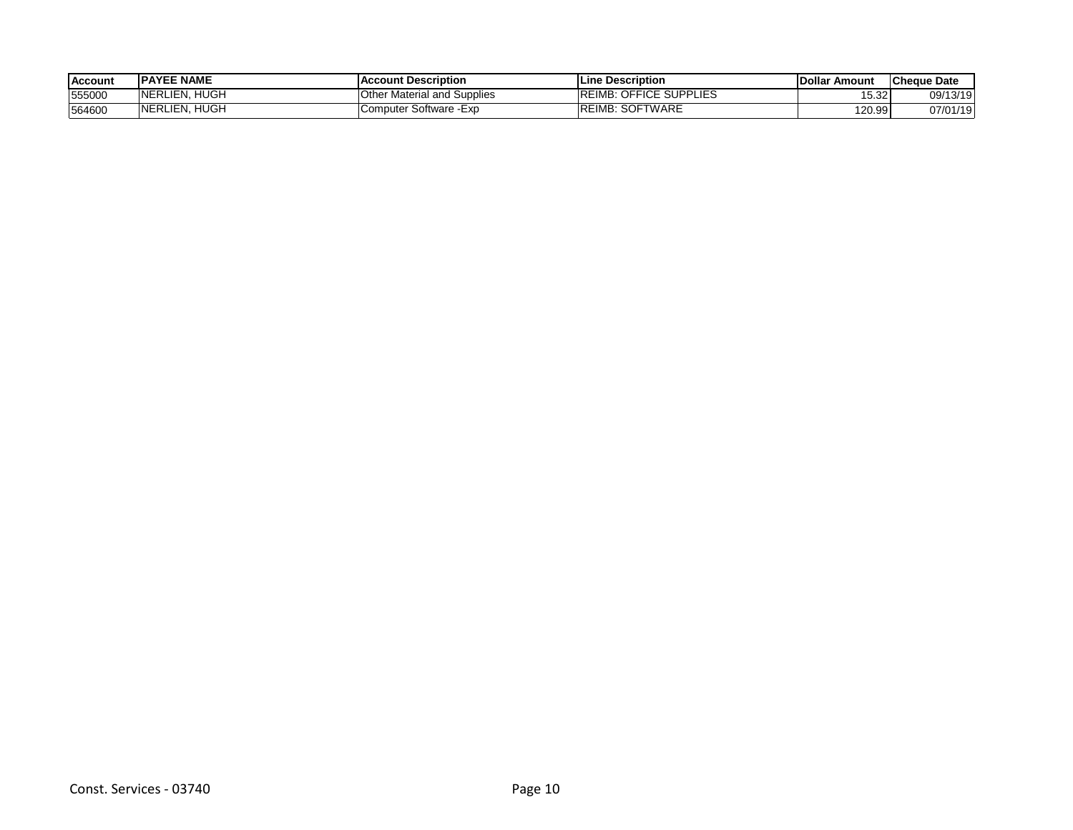| <b>Account</b> | <b>IPAYEE NAME</b> | ccount Description.<br><b>AC</b>      | <b>ILine Description</b>                          | l Dollar<br>Amount | <b>ICheque Date</b> |
|----------------|--------------------|---------------------------------------|---------------------------------------------------|--------------------|---------------------|
| 555000         | HUGH<br>NERLIEN.   | Other<br><b>Material and Supplies</b> | <b>REIMB:</b><br><b>DEFICE</b><br><b>SUPPLIES</b> | 15.321             | 09/13/19            |
| 564600         | HUGH<br>NERLIEN.   | Software Exp<br>Computer              | : SOFTWARE<br><b>REIMB:</b>                       | 120.99             | 07/01/19            |